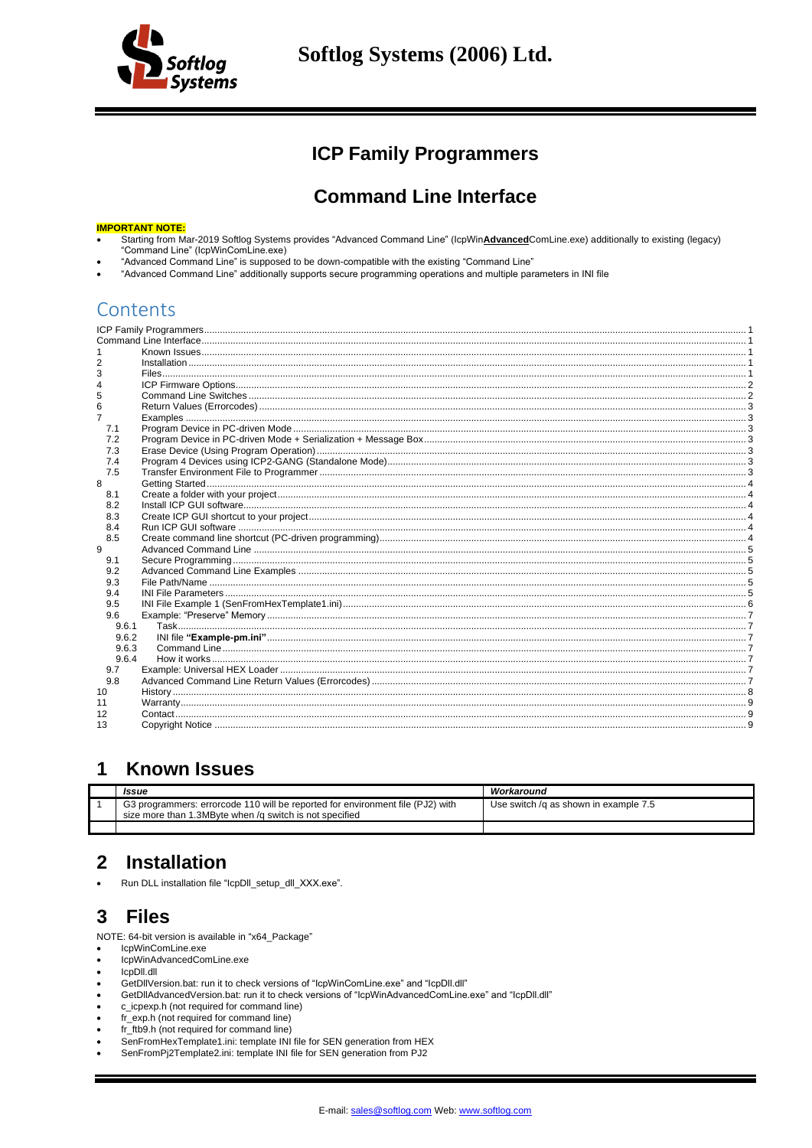

## **ICP Family Programmers**

## **Command Line Interface**

### <span id="page-0-1"></span><span id="page-0-0"></span>**IMPORTANT NOTE:**

- Starting from Mar-2019 Softlog Systems provides "Advanced Command Line" (IcpWinAdvancedComLine.exe) additionally to existing (legacy)<br>"Command Line" (IcpWinComLine.exe)
- "Advanced Command Line" is supposed to be down-compatible with the existing "Command Line"
- "Advanced Command Line" additionally supports secure programming operations and multiple parameters in INI file

## Contents

| 5     |  |
|-------|--|
| 6     |  |
| 7     |  |
| 7.1   |  |
| 7.2   |  |
| 7.3   |  |
| 7.4   |  |
| 7.5   |  |
| 8     |  |
| 8.1   |  |
| 8.2   |  |
| 8.3   |  |
| 8.4   |  |
| 8.5   |  |
| 9     |  |
| 9.1   |  |
| 9.2   |  |
| 9.3   |  |
| 9.4   |  |
| 9.5   |  |
| 9.6   |  |
| 9.6.1 |  |
| 9.6.2 |  |
| 9.6.3 |  |
| 9.6.4 |  |
| 9.7   |  |
| 9.8   |  |
| 10    |  |
| 11    |  |
| 12    |  |
| 13    |  |
|       |  |

#### <span id="page-0-2"></span> $\mathbf 1$ **Known Issues**

| Issue                                                                                                                                     | Workaround                            |
|-------------------------------------------------------------------------------------------------------------------------------------------|---------------------------------------|
| G3 programmers: errorcode 110 will be reported for environment file (PJ2) with<br>size more than 1.3MByte when /g switch is not specified | Use switch /g as shown in example 7.5 |
|                                                                                                                                           |                                       |

#### <span id="page-0-3"></span>**Installation**  $\mathbf{2}$

<span id="page-0-4"></span>Run DLL installation file "IcpDII\_setup\_dII\_XXX.exe".

#### 3 **Files**

NOTE: 64-bit version is available in "x64\_Package"

- IcpWinComLine.exe IcpWinAdvancedComLine.exe
- IcpDII.dll
- GetDIIVersion.bat: run it to check versions of "IcpWinComLine.exe" and "IcpDII.dll"
- GetDIIAdvancedVersion.bat: run it to check versions of "IcpWinAdvancedComLine.exe" and "IcpDII.dll"
- c\_icpexp.h (not required for command line)
- fr\_exp.h (not required for command line)
- fr\_ftb9.h (not required for command line)
- SenFromHexTemplate1.ini: template INI file for SEN generation from HEX
- SenFromPj2Template2.ini: template INI file for SEN generation from PJ2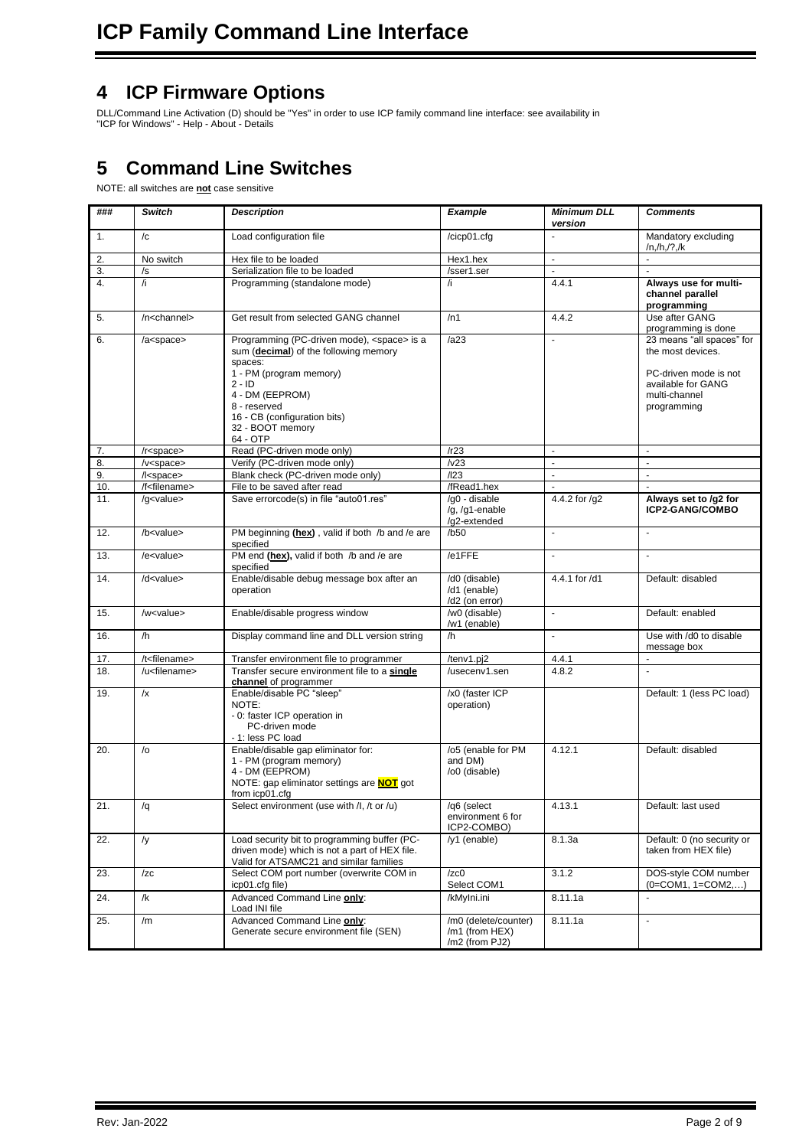## <span id="page-1-0"></span>**4 ICP Firmware Options**

DLL/Command Line Activation (D) should be "Yes" in order to use ICP family command line interface: see availability in "ICP for Windows" - Help - About - Details

# <span id="page-1-1"></span>**5 Command Line Switches**

## NOTE: all switches are **not** case sensitive

| ###              | <b>Switch</b>                                                                       | <b>Description</b>                                                                                                                                                                                                                                                   |                                                          | <b>Minimum DLL</b><br>version                        | <b>Comments</b>                                                                                                               |  |
|------------------|-------------------------------------------------------------------------------------|----------------------------------------------------------------------------------------------------------------------------------------------------------------------------------------------------------------------------------------------------------------------|----------------------------------------------------------|------------------------------------------------------|-------------------------------------------------------------------------------------------------------------------------------|--|
| 1.               | $\sqrt{c}$                                                                          | Load configuration file                                                                                                                                                                                                                                              | /cicp01.cfg                                              | Mandatory excluding<br>$\blacksquare$<br>/n,/h,/?,/k |                                                                                                                               |  |
| 2.               | No switch                                                                           | Hex file to be loaded                                                                                                                                                                                                                                                | Hex1.hex                                                 | $\blacksquare$                                       | $\blacksquare$                                                                                                                |  |
| $\overline{3}$ . | /s                                                                                  | Serialization file to be loaded                                                                                                                                                                                                                                      | /sser1.ser                                               | $\overline{a}$                                       |                                                                                                                               |  |
| 4.               | /i                                                                                  | Programming (standalone mode)                                                                                                                                                                                                                                        | /i                                                       | 4.4.1                                                | Always use for multi-<br>channel parallel<br>programming                                                                      |  |
| 5.               | /n <channel></channel>                                                              | Get result from selected GANG channel                                                                                                                                                                                                                                | /n1                                                      | 4.4.2                                                | Use after GANG<br>programming is done                                                                                         |  |
| 6.               | /a <space></space>                                                                  | Programming (PC-driven mode), <space> is a<br/>sum (decimal) of the following memory<br/>spaces:<br/>1 - PM (program memory)<br/><math>2 - ID</math><br/>4 - DM (EEPROM)<br/>8 - reserved<br/>16 - CB (configuration bits)<br/>32 - BOOT memory<br/>64 - OTP</space> | /az3                                                     | ÷,                                                   | 23 means "all spaces" for<br>the most devices.<br>PC-driven mode is not<br>available for GANG<br>multi-channel<br>programming |  |
| 7.               | /r <space></space>                                                                  | Read (PC-driven mode only)                                                                                                                                                                                                                                           | /r23                                                     | $\sim$                                               | $\blacksquare$                                                                                                                |  |
| 8.               | $/v$ <space></space>                                                                | Verify (PC-driven mode only)                                                                                                                                                                                                                                         | /v23                                                     | $\blacksquare$                                       | $\blacksquare$                                                                                                                |  |
| 9.               | /l <space></space>                                                                  | Blank check (PC-driven mode only)                                                                                                                                                                                                                                    | /123                                                     | ÷,                                                   | $\mathbf{r}$                                                                                                                  |  |
| 10.              | /f <filename></filename>                                                            | File to be saved after read                                                                                                                                                                                                                                          | /fRead1.hex                                              | ÷.                                                   |                                                                                                                               |  |
| 11.              | /g <value></value>                                                                  | Save errorcode(s) in file "auto01.res"                                                                                                                                                                                                                               | /g0 - disable<br>/g, /g1-enable<br>/g2-extended          | 4.4.2 for /g2                                        | Always set to /g2 for<br>ICP2-GANG/COMBO                                                                                      |  |
| 12.              | PM beginning (hex), valid if both /b and /e are<br>/b <value><br/>specified</value> |                                                                                                                                                                                                                                                                      | /b50                                                     | $\blacksquare$                                       | $\blacksquare$                                                                                                                |  |
| 13.              | $/$ e $<$ value $>$                                                                 | PM end (hex), valid if both /b and /e are<br>specified                                                                                                                                                                                                               | /e1FFE                                                   | $\mathbf{r}$                                         | $\overline{\phantom{a}}$                                                                                                      |  |
| 14.              | /d <value></value>                                                                  | Enable/disable debug message box after an<br>operation                                                                                                                                                                                                               | /d0 (disable)<br>/d1 (enable)<br>/d2 (on error)          | 4.4.1 for /d1                                        | Default: disabled                                                                                                             |  |
| 15.              | /w <value></value>                                                                  | Enable/disable progress window                                                                                                                                                                                                                                       | /w0 (disable)<br>/w1 (enable)                            | ÷,                                                   | Default: enabled                                                                                                              |  |
| 16.              | /h                                                                                  | Display command line and DLL version string                                                                                                                                                                                                                          | /h                                                       | $\overline{\phantom{a}}$                             | Use with /d0 to disable<br>message box                                                                                        |  |
| 17.              | /t <filename></filename>                                                            | Transfer environment file to programmer                                                                                                                                                                                                                              | /tenv1.pj2                                               | 4.4.1                                                | ä,                                                                                                                            |  |
| 18.              | /u <filename></filename>                                                            | Transfer secure environment file to a single<br>channel of programmer                                                                                                                                                                                                | /usecenv1.sen                                            | 4.8.2                                                | $\overline{a}$                                                                                                                |  |
| 19.              | /x                                                                                  | Enable/disable PC "sleep"<br>NOTE:<br>- 0: faster ICP operation in<br>PC-driven mode<br>- 1: less PC load                                                                                                                                                            | /x0 (faster ICP<br>operation)                            |                                                      | Default: 1 (less PC load)                                                                                                     |  |
| 20.              | $\sqrt{0}$                                                                          | Enable/disable gap eliminator for:<br>1 - PM (program memory)<br>4 - DM (EEPROM)<br>NOTE: gap eliminator settings are <b>NOT</b> got<br>from icp01.cfg                                                                                                               | /o5 (enable for PM<br>and DM)<br>/o0 (disable)           | 4.12.1                                               | Default: disabled                                                                                                             |  |
| 21.              | /q                                                                                  | Select environment (use with /I, /t or /u)                                                                                                                                                                                                                           | /q6 (select<br>environment 6 for<br>ICP2-COMBO)          | 4.13.1                                               | Default: last used                                                                                                            |  |
| 22.              | /y                                                                                  | Load security bit to programming buffer (PC-<br>driven mode) which is not a part of HEX file.<br>Valid for ATSAMC21 and similar families                                                                                                                             | /y1 (enable)                                             | 8.1.3a                                               | Default: 0 (no security or<br>taken from HEX file)                                                                            |  |
| 23.              | /zc                                                                                 | Select COM port number (overwrite COM in<br>icp01.cfg file)                                                                                                                                                                                                          | /zc0<br>Select COM1                                      | 3.1.2                                                | DOS-style COM number<br>$(0 = COM1, 1 = COM2)$                                                                                |  |
| 24.              | /k                                                                                  | Advanced Command Line only:<br>Load INI file                                                                                                                                                                                                                         | /kMylni.ini                                              | 8.11.1a                                              |                                                                                                                               |  |
| 25.              | /m                                                                                  | Advanced Command Line only:<br>Generate secure environment file (SEN)                                                                                                                                                                                                | /m0 (delete/counter)<br>/m1 (from HEX)<br>/m2 (from PJ2) | 8.11.1a                                              | $\blacksquare$                                                                                                                |  |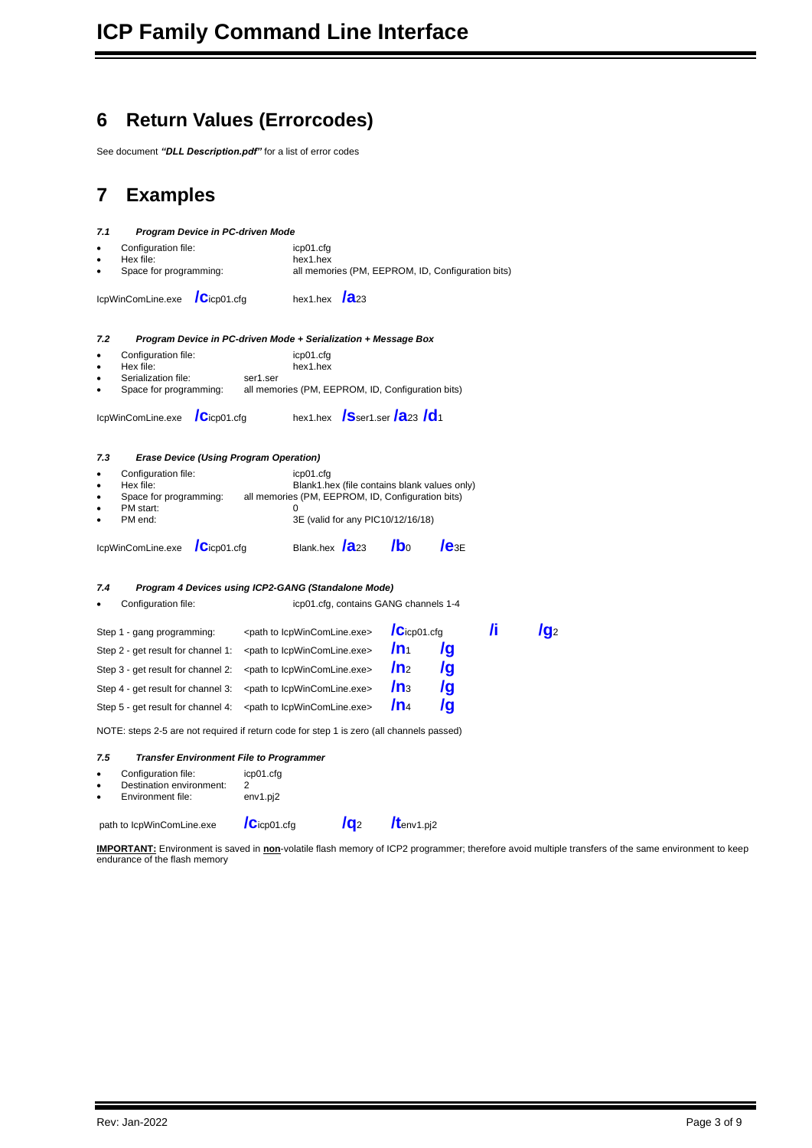# <span id="page-2-0"></span>**6 Return Values (Errorcodes)**

See document *"DLL Description.pdf"* for a list of error codes

# <span id="page-2-1"></span>**7 Examples**

<span id="page-2-4"></span><span id="page-2-3"></span><span id="page-2-2"></span>

| 7.1 | Program Device in PC-driven Mode                                                         |                   |           |                                                                           |                                       |                   |                                                   |    |            |
|-----|------------------------------------------------------------------------------------------|-------------------|-----------|---------------------------------------------------------------------------|---------------------------------------|-------------------|---------------------------------------------------|----|------------|
|     | Configuration file:                                                                      |                   | icp01.cfg |                                                                           |                                       |                   |                                                   |    |            |
|     | Hex file:<br>Space for programming:                                                      |                   |           | hex1.hex                                                                  |                                       |                   | all memories (PM, EEPROM, ID, Configuration bits) |    |            |
|     | IcpWinComLine.exe                                                                        | $\int$ Cicp01.cfg |           | hex1.hex $\sqrt{2}$ 23                                                    |                                       |                   |                                                   |    |            |
| 7.2 | Program Device in PC-driven Mode + Serialization + Message Box                           |                   |           |                                                                           |                                       |                   |                                                   |    |            |
|     | Configuration file:                                                                      |                   |           | icp01.cfg                                                                 |                                       |                   |                                                   |    |            |
| ٠   | Hex file:<br>Serialization file:                                                         |                   | ser1.ser  | hex1.hex                                                                  |                                       |                   |                                                   |    |            |
|     | Space for programming:                                                                   |                   |           | all memories (PM, EEPROM, ID, Configuration bits)                         |                                       |                   |                                                   |    |            |
|     | IcpWinComLine.exe                                                                        | $\int$ Cicp01.cfg |           | hex1.hex $\int$ Sser1.ser $\int$ <b>a</b> 23 $\int$ <b>d</b> <sub>1</sub> |                                       |                   |                                                   |    |            |
| 7.3 | <b>Erase Device (Using Program Operation)</b>                                            |                   |           |                                                                           |                                       |                   |                                                   |    |            |
| ٠   | Configuration file:                                                                      |                   |           | icp01.cfg                                                                 |                                       |                   |                                                   |    |            |
| ٠   | Hex file:<br>Space for programming:                                                      |                   |           | all memories (PM, EEPROM, ID, Configuration bits)                         |                                       |                   | Blank1.hex (file contains blank values only)      |    |            |
| ٠   | PM start:                                                                                |                   |           |                                                                           |                                       |                   |                                                   |    |            |
| ٠   | PM end:                                                                                  |                   |           |                                                                           | 3E (valid for any PIC10/12/16/18)     |                   |                                                   |    |            |
|     | IcpWinComLine.exe                                                                        | $\int$ Cicp01.cfg |           | Blank.hex <b>/a</b> 23                                                    |                                       | $\mathbf{I}$ bo   | $Ie_{3E}$                                         |    |            |
| 7.4 | Program 4 Devices using ICP2-GANG (Standalone Mode)                                      |                   |           |                                                                           |                                       |                   |                                                   |    |            |
|     | Configuration file:                                                                      |                   |           |                                                                           | icp01.cfg, contains GANG channels 1-4 |                   |                                                   |    |            |
|     | Step 1 - gang programming:                                                               |                   |           | <path icpwincomline.exe="" to=""></path>                                  |                                       | $\int$ Cicp01.cfg |                                                   | /i | / <b>g</b> |
|     | Step 2 - get result for channel 1:                                                       |                   |           | <path icpwincomline.exe="" to=""></path>                                  |                                       | $/n_1$            | /g                                                |    |            |
|     | Step 3 - get result for channel 2:                                                       |                   |           | <path icpwincomline.exe="" to=""></path>                                  |                                       | $\mathsf{In}_2$   | /g                                                |    |            |
|     | Step 4 - get result for channel 3:                                                       |                   |           | <path icpwincomline.exe="" to=""></path>                                  |                                       | $\mathsf{In}_3$   | /g                                                |    |            |
|     | Step 5 - get result for channel 4:                                                       |                   |           | <path lcpwincomline.exe="" to=""></path>                                  |                                       | $\ln_4$           | /g                                                |    |            |
|     | NOTE: steps 2-5 are not required if return code for step 1 is zero (all channels passed) |                   |           |                                                                           |                                       |                   |                                                   |    |            |
| 7.5 | <b>Transfer Environment File to Programmer</b>                                           |                   |           |                                                                           |                                       |                   |                                                   |    |            |

## <span id="page-2-6"></span><span id="page-2-5"></span>Configuration file: icp01.cfg<br>Destination environment: 2 • Destination environment: 2<br>• Environment file: env1.pj2 Environment file: path to IcpWinComLine.exe **/C**icp01.cfg **/q2** /tenv1.pj2

**IMPORTANT:** Environment is saved in **non**-volatile flash memory of ICP2 programmer; therefore avoid multiple transfers of the same environment to keep endurance of the flash memory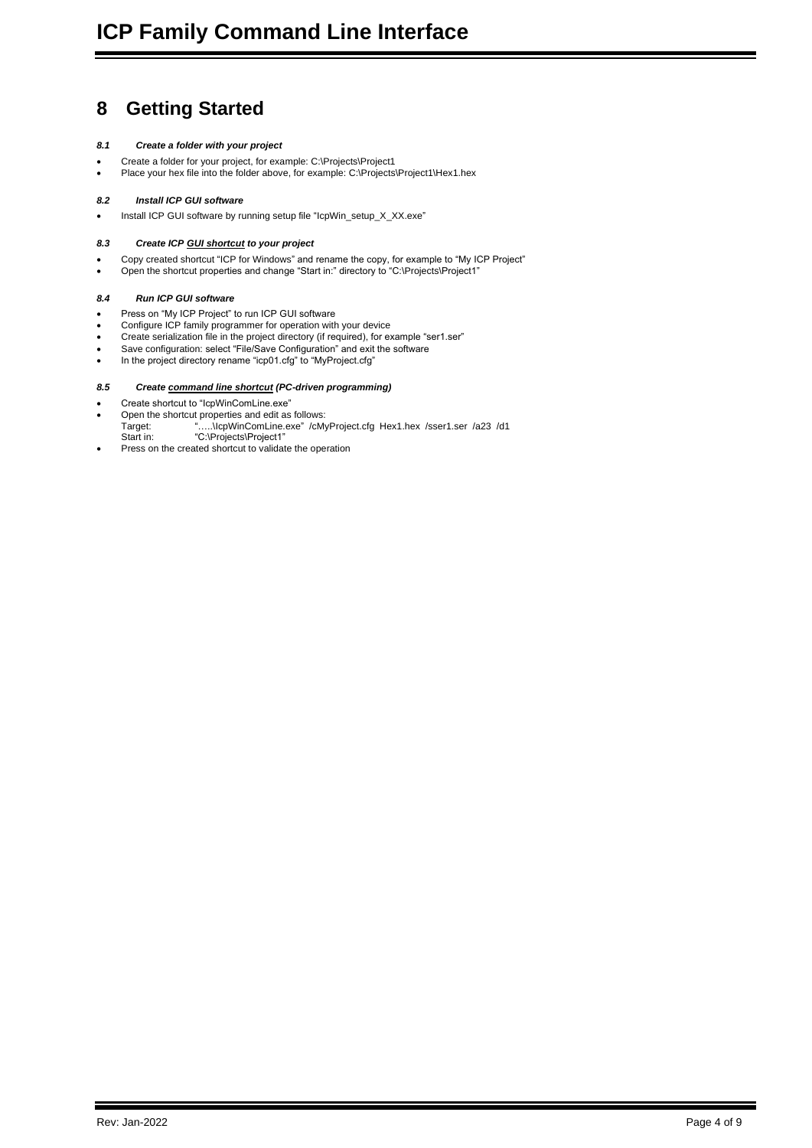# <span id="page-3-0"></span>**8 Getting Started**

### <span id="page-3-1"></span>*8.1 Create a folder with your project*

- Create a folder for your project, for example: C:\Projects\Project1
- <span id="page-3-2"></span>• Place your hex file into the folder above, for example: C:\Projects\Project1\Hex1.hex

### *8.2 Install ICP GUI software*

<span id="page-3-3"></span>• Install ICP GUI software by running setup file "IcpWin\_setup\_X\_XX.exe"

### *8.3 Create ICP GUI shortcut to your project*

- Copy created shortcut "ICP for Windows" and rename the copy, for example to "My ICP Project"
- <span id="page-3-4"></span>• Open the shortcut properties and change "Start in:" directory to "C:\Projects\Project1"

### *8.4 Run ICP GUI software*

- Press on "My ICP Project" to run ICP GUI software
- Configure ICP family programmer for operation with your device
- Create serialization file in the project directory (if required), for example "ser1.ser"
- Save configuration: select "File/Save Configuration" and exit the software
- <span id="page-3-5"></span>• In the project directory rename "icp01.cfg" to "MyProject.cfg"

### *8.5 Create command line shortcut (PC-driven programming)*

- Create shortcut to "IcpWinComLine.exe"
- Open the shortcut properties and edit as follows:
- Target: "…..\IcpWinComLine.exe" /cMyProject.cfg Hex1.hex /sser1.ser /a23 /d1 Start in: "C:\Projects\Project1"
- Press on the created shortcut to validate the operation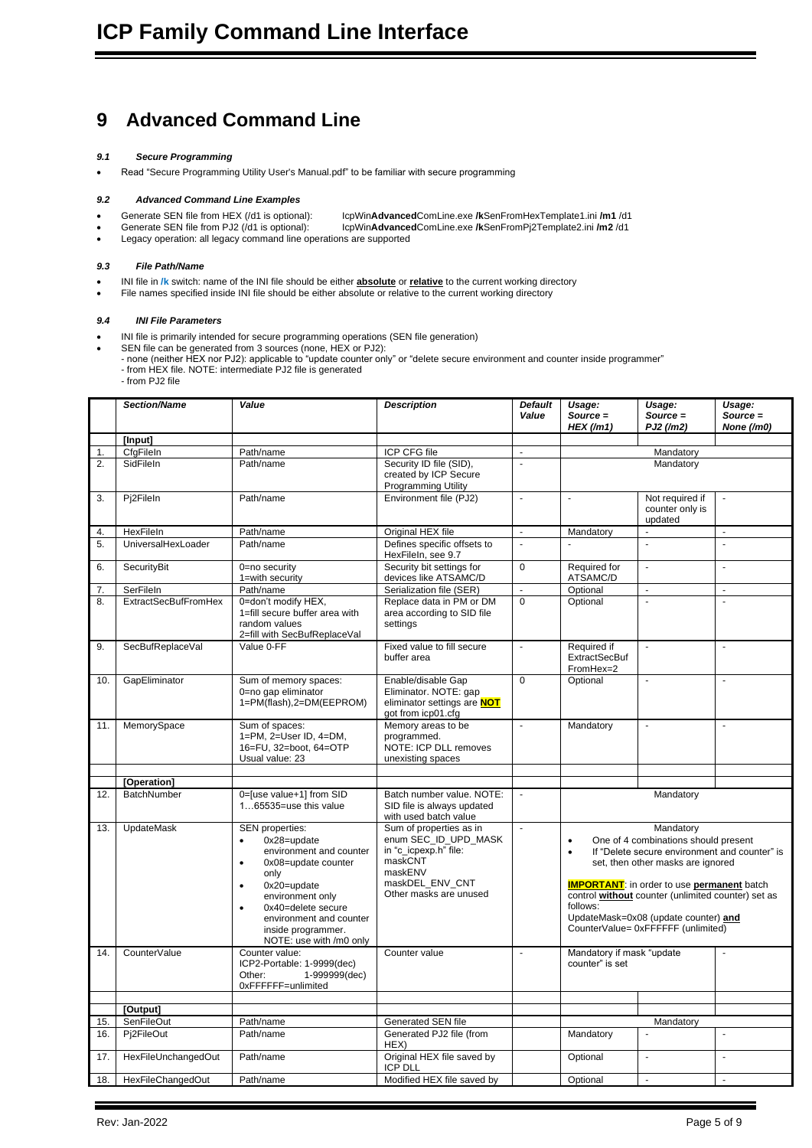## <span id="page-4-0"></span>**9 Advanced Command Line**

### <span id="page-4-1"></span>*9.1 Secure Programming*

<span id="page-4-2"></span>• Read "Secure Programming Utility User's Manual.pdf" to be familiar with secure programming

### *9.2 Advanced Command Line Examples*

- Generate SEN file from HEX (/d1 is optional): IcpWin**Advanced**ComLine.exe **/k**SenFromHexTemplate1.ini **/m1** /d1
- Generate SEN file from PJ2 (/d1 is optional): IcpWin**Advanced**ComLine.exe **/k**SenFromPj2Template2.ini **/m2** /d1
- Legacy operation: all legacy command line operations are supported

### <span id="page-4-3"></span>*9.3 File Path/Name*

- INI file in **/k** switch: name of the INI file should be either **absolute** or **relative** to the current working directory
- <span id="page-4-4"></span>File names specified inside INI file should be either absolute or relative to the current working directory

#### *9.4 INI File Parameters*

- INI file is primarily intended for secure programming operations (SEN file generation)
	- SEN file can be generated from 3 sources (none, HEX or PJ2):
	- none (neither HEX nor PJ2): applicable to "update counter only" or "delete secure environment and counter inside programmer" - from HEX file. NOTE: intermediate PJ2 file is generated
	- from PJ2 file

|     | <b>Section/Name</b>         | Value                                                                                                                                                                                                                                                       | <b>Description</b>                                                                                                                          | <b>Default</b><br>Value | Usage:<br>Source =<br>$HEX$ (/m1)            | Usage:<br>$Source =$<br>PJ2 (/m2)                                                                                                                                                                                                                                                                                                       | Usage:<br>$Source =$<br>None (/m0) |
|-----|-----------------------------|-------------------------------------------------------------------------------------------------------------------------------------------------------------------------------------------------------------------------------------------------------------|---------------------------------------------------------------------------------------------------------------------------------------------|-------------------------|----------------------------------------------|-----------------------------------------------------------------------------------------------------------------------------------------------------------------------------------------------------------------------------------------------------------------------------------------------------------------------------------------|------------------------------------|
|     | [Input]                     |                                                                                                                                                                                                                                                             |                                                                                                                                             |                         |                                              |                                                                                                                                                                                                                                                                                                                                         |                                    |
| 1.  | CfgFileIn                   | Path/name                                                                                                                                                                                                                                                   | ICP CFG file                                                                                                                                | ä,                      |                                              | Mandatory                                                                                                                                                                                                                                                                                                                               |                                    |
| 2.  | SidFileIn                   | Path/name                                                                                                                                                                                                                                                   | Security ID file (SID),<br>created by ICP Secure<br>Programming Utility                                                                     | ä,                      |                                              | Mandatory                                                                                                                                                                                                                                                                                                                               |                                    |
| 3.  | Pj2FileIn                   | Path/name                                                                                                                                                                                                                                                   | Environment file (PJ2)                                                                                                                      | ä,                      | $\ddot{\phantom{a}}$                         | Not required if<br>counter only is<br>updated                                                                                                                                                                                                                                                                                           | ä,                                 |
| 4.  | HexFileIn                   | Path/name                                                                                                                                                                                                                                                   | Original HEX file                                                                                                                           | ÷.                      | Mandatory                                    |                                                                                                                                                                                                                                                                                                                                         |                                    |
| 5.  | UniversalHexLoader          | Path/name                                                                                                                                                                                                                                                   | Defines specific offsets to<br>HexFileIn, see 9.7                                                                                           | $\blacksquare$          | $\overline{a}$                               | $\overline{a}$                                                                                                                                                                                                                                                                                                                          | $\mathbf{r}$                       |
| 6.  | SecurityBit                 | 0=no security<br>1=with security                                                                                                                                                                                                                            | Security bit settings for<br>devices like ATSAMC/D                                                                                          | $\Omega$                | Required for<br>ATSAMC/D                     | ÷,                                                                                                                                                                                                                                                                                                                                      | ä,                                 |
| 7.  | SerFileIn                   | Path/name                                                                                                                                                                                                                                                   | Serialization file (SER)                                                                                                                    | ÷,                      | Optional                                     | ÷,                                                                                                                                                                                                                                                                                                                                      | ä,                                 |
| 8.  | <b>ExtractSecBufFromHex</b> | 0=don't modify HEX,<br>1=fill secure buffer area with<br>random values<br>2=fill with SecBufReplaceVal                                                                                                                                                      | Replace data in PM or DM<br>area according to SID file<br>settings                                                                          | $\Omega$                | Optional                                     | $\overline{a}$                                                                                                                                                                                                                                                                                                                          | $\overline{\phantom{a}}$           |
| 9.  | SecBufReplaceVal            | Value 0-FF                                                                                                                                                                                                                                                  | Fixed value to fill secure<br>buffer area                                                                                                   | ÷,                      | Required if<br>ExtractSecBuf<br>FromHex=2    | ä,                                                                                                                                                                                                                                                                                                                                      | ä,                                 |
| 10. | GapEliminator               | Sum of memory spaces:<br>0=no gap eliminator<br>1=PM(flash),2=DM(EEPROM)                                                                                                                                                                                    | Enable/disable Gap<br>Eliminator. NOTE: gap<br>eliminator settings are NOT<br>got from icp01.cfg                                            | $\overline{0}$          | Optional                                     | ÷,                                                                                                                                                                                                                                                                                                                                      | ÷,                                 |
| 11. | MemorySpace                 | Sum of spaces:<br>1=PM, 2=User ID, 4=DM,<br>16=FU, 32=boot, 64=OTP<br>Usual value: 23                                                                                                                                                                       | Memory areas to be<br>programmed.<br>NOTE: ICP DLL removes<br>unexisting spaces                                                             | L.                      | Mandatory                                    | ä,                                                                                                                                                                                                                                                                                                                                      | ä,                                 |
|     |                             |                                                                                                                                                                                                                                                             |                                                                                                                                             |                         |                                              |                                                                                                                                                                                                                                                                                                                                         |                                    |
|     | [Operation]                 |                                                                                                                                                                                                                                                             |                                                                                                                                             |                         |                                              |                                                                                                                                                                                                                                                                                                                                         |                                    |
| 12. | BatchNumber                 | 0=[use value+1] from SID<br>165535=use this value                                                                                                                                                                                                           | Batch number value. NOTE:<br>SID file is always updated<br>with used batch value                                                            | L.                      |                                              | Mandatory                                                                                                                                                                                                                                                                                                                               |                                    |
| 13. | <b>UpdateMask</b>           | SEN properties:<br>0x28=update<br>environment and counter<br>0x08=update counter<br>$\bullet$<br>only<br>$0x20 =$ update<br>environment only<br>0x40=delete secure<br>$\bullet$<br>environment and counter<br>inside programmer.<br>NOTE: use with /m0 only | Sum of properties as in<br>enum SEC_ID_UPD_MASK<br>in "c icpexp.h" file:<br>maskCNT<br>maskENV<br>maskDEL ENV CNT<br>Other masks are unused | ä,                      | $\bullet$<br>$\bullet$<br>follows:           | Mandatory<br>One of 4 combinations should present<br>If "Delete secure environment and counter" is<br>set, then other masks are ignored<br><b>IMPORTANT:</b> in order to use <b>permanent</b> batch<br>control without counter (unlimited counter) set as<br>UpdateMask=0x08 (update counter) and<br>CounterValue= 0xFFFFFF (unlimited) |                                    |
| 14. | CounterValue                | Counter value:<br>ICP2-Portable: 1-9999(dec)<br>1-999999(dec)<br>Other:<br>0xFFFFFF=unlimited                                                                                                                                                               | Counter value                                                                                                                               | ÷.                      | Mandatory if mask "update<br>counter" is set |                                                                                                                                                                                                                                                                                                                                         |                                    |
|     |                             |                                                                                                                                                                                                                                                             |                                                                                                                                             |                         |                                              |                                                                                                                                                                                                                                                                                                                                         |                                    |
|     | [Output]                    |                                                                                                                                                                                                                                                             |                                                                                                                                             |                         |                                              |                                                                                                                                                                                                                                                                                                                                         |                                    |
| 15. | SenFileOut                  | Path/name                                                                                                                                                                                                                                                   | Generated SEN file                                                                                                                          |                         |                                              | Mandatory                                                                                                                                                                                                                                                                                                                               | $\overline{a}$                     |
| 16. | Pj2FileOut                  | Path/name                                                                                                                                                                                                                                                   | Generated PJ2 file (from<br>HEX)                                                                                                            |                         | Mandatory                                    |                                                                                                                                                                                                                                                                                                                                         | ä,                                 |
| 17. | HexFileUnchangedOut         | Path/name                                                                                                                                                                                                                                                   | Original HEX file saved by<br><b>ICP DLL</b>                                                                                                |                         | Optional                                     | $\blacksquare$                                                                                                                                                                                                                                                                                                                          |                                    |
| 18. | HexFileChangedOut           | Path/name                                                                                                                                                                                                                                                   | Modified HEX file saved by                                                                                                                  |                         | Optional                                     | ÷,                                                                                                                                                                                                                                                                                                                                      | $\overline{a}$                     |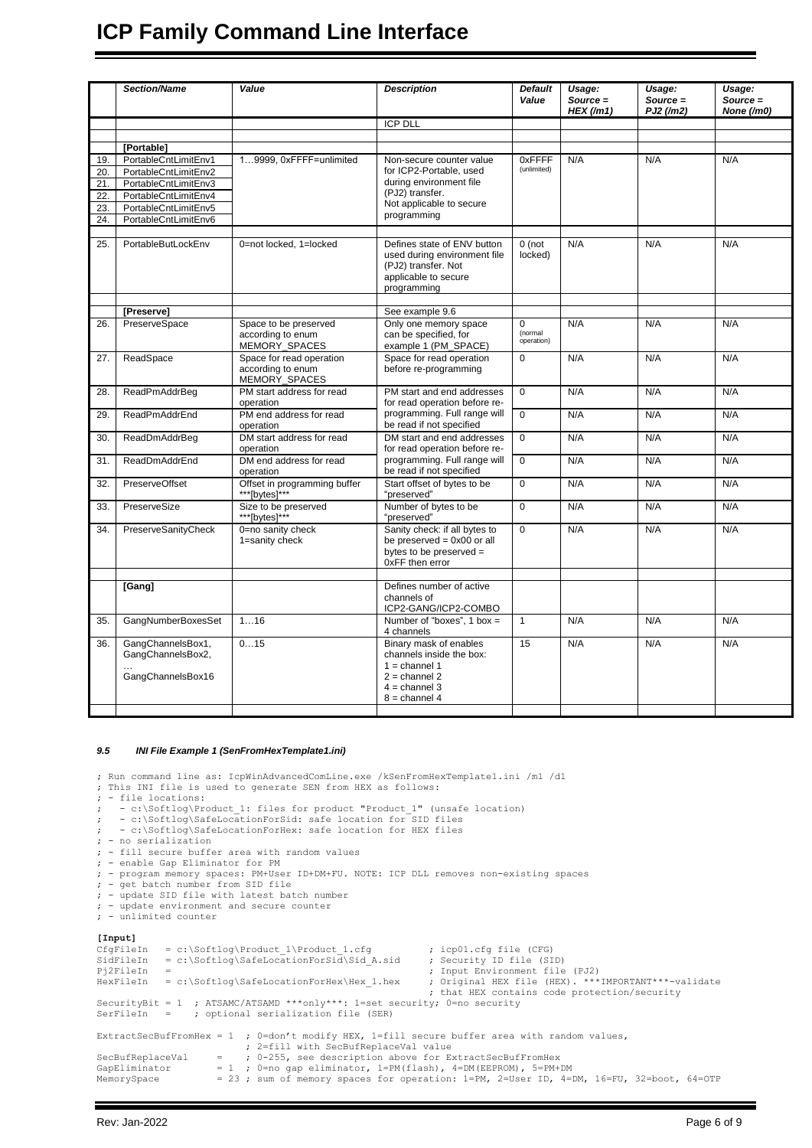# **ICP Family Command Line Interface**

|     | Section/Name                                 | Value                                                          | <b>Description</b>                                                                                                        | <b>Default</b><br>Value | Usage:<br>$Source =$<br>HEX(Mm1) | Usage:<br>$Source =$<br>PJ2 (/m2) | Usage:<br>Source =<br>None (/m0) |
|-----|----------------------------------------------|----------------------------------------------------------------|---------------------------------------------------------------------------------------------------------------------------|-------------------------|----------------------------------|-----------------------------------|----------------------------------|
|     |                                              |                                                                | <b>ICP DLL</b>                                                                                                            |                         |                                  |                                   |                                  |
|     |                                              |                                                                |                                                                                                                           |                         |                                  |                                   |                                  |
|     | [Portable]                                   |                                                                |                                                                                                                           |                         |                                  |                                   |                                  |
| 19. | PortableCntLimitEnv1                         | 19999, 0xFFFF=unlimited                                        | Non-secure counter value                                                                                                  | 0xFFFF<br>(unlimited)   | N/A                              | N/A                               | N/A                              |
| 20. | PortableCntLimitEnv2                         |                                                                | for ICP2-Portable, used                                                                                                   |                         |                                  |                                   |                                  |
| 21. | PortableCntLimitEnv3                         |                                                                | during environment file<br>(PJ2) transfer.                                                                                |                         |                                  |                                   |                                  |
| 22. | PortableCntLimitEnv4                         |                                                                | Not applicable to secure                                                                                                  |                         |                                  |                                   |                                  |
| 23. | PortableCntLimitEnv5<br>PortableCntLimitEnv6 |                                                                | programming                                                                                                               |                         |                                  |                                   |                                  |
| 24. |                                              |                                                                |                                                                                                                           |                         |                                  |                                   |                                  |
| 25. | PortableButLockEnv                           | 0=not locked, 1=locked                                         | Defines state of ENV button<br>used during environment file<br>(PJ2) transfer. Not<br>applicable to secure<br>programming | $0$ (not<br>locked)     | N/A                              | N/A                               | N/A                              |
|     | [Preserve]                                   |                                                                | See example 9.6                                                                                                           |                         |                                  |                                   |                                  |
| 26. | PreserveSpace                                | Space to be preserved                                          | Only one memory space                                                                                                     | $\Omega$                | N/A                              | N/A                               | N/A                              |
|     |                                              | according to enum<br>MEMORY_SPACES                             | can be specified, for<br>example 1 (PM_SPACE)                                                                             | (normal<br>operation)   |                                  |                                   |                                  |
| 27. | ReadSpace                                    | Space for read operation<br>according to enum<br>MEMORY_SPACES | Space for read operation<br>before re-programming                                                                         | $\mathbf 0$             | N/A                              | N/A                               | N/A                              |
| 28. | ReadPmAddrBeg                                | PM start address for read<br>operation                         | PM start and end addresses<br>for read operation before re-                                                               | $\Omega$                | N/A                              | N/A                               | N/A                              |
| 29. | ReadPmAddrEnd                                | PM end address for read<br>operation                           | programming. Full range will<br>be read if not specified                                                                  | $\Omega$                | N/A                              | N/A                               | N/A                              |
| 30. | ReadDmAddrBeg                                | DM start address for read<br>operation                         | DM start and end addresses<br>for read operation before re-                                                               | $\mathbf 0$             | N/A                              | N/A                               | N/A                              |
| 31. | ReadDmAddrEnd                                | DM end address for read<br>operation                           | programming. Full range will<br>be read if not specified                                                                  | $\mathbf 0$             | N/A                              | N/A                               | N/A                              |
| 32. | <b>PreserveOffset</b>                        | Offset in programming buffer<br>***[bytes]***                  | Start offset of bytes to be<br>"preserved"                                                                                | $\mathbf 0$             | N/A                              | N/A                               | N/A                              |
| 33. | PreserveSize                                 | Size to be preserved<br>***[bytes]***                          | Number of bytes to be<br>"preserved"                                                                                      | $\mathbf 0$             | N/A                              | N/A                               | N/A                              |
| 34. | PreserveSanityCheck                          | 0=no sanity check<br>1=sanity check                            | Sanity check: if all bytes to<br>be preserved $= 0x00$ or all<br>bytes to be preserved =<br>0xFF then error               | $\mathbf 0$             | N/A                              | N/A                               | N/A                              |
|     | [Gang]                                       |                                                                | Defines number of active<br>channels of                                                                                   |                         |                                  |                                   |                                  |
| 35. | GangNumberBoxesSet                           | 116                                                            | ICP2-GANG/ICP2-COMBO<br>Number of "boxes", $1$ box =<br>4 channels                                                        | $\mathbf{1}$            | N/A                              | N/A                               | N/A                              |
| 36. | GangChannelsBox1,<br>GangChannelsBox2,       | 015                                                            | Binary mask of enables<br>channels inside the box:<br>$1 =$ channel 1                                                     | $\overline{15}$         | N/A                              | N/A                               | N/A                              |
|     | GangChannelsBox16                            |                                                                | $2 = channel 2$<br>$4 =$ channel 3<br>$8 =$ channel 4                                                                     |                         |                                  |                                   |                                  |

#### <span id="page-5-0"></span>*9.5 INI File Example 1 (SenFromHexTemplate1.ini)*

; This INI file is used to generate SEN from HEX as follows: ; - file locations: ; - c:\Softlog\Product\_1: files for product "Product\_1" (unsafe location) ; - c:\Softlog\SafeLocationForSid: safe location for SID files ; - c:\Softlog\SafeLocationForHex: safe location for HEX files ; - no serialization ; - fill secure buffer area with random values ; - enable Gap Eliminator for PM ; - program memory spaces: PM+User ID+DM+FU. NOTE: ICP DLL removes non-existing spaces ; - get batch number from SID file ; - update SID file with latest batch number ; - update environment and secure counter ; - unlimited counter **[Input]**  $= c:\S$ oftlog\Product\_1\Product\_1.cfg ; icp01.cfg file (CFG)<br>= c:\Softlog\SafeLocationForSid\Sid\_A.sid ; Security ID file (SID)  $SidFileIn = c:\Softlog\SafelocationForSi\overline{d}\Sid_A.sid$ Pj2FileIn = ; Input Environment file (PJ2) HexFileIn = c:\Softlog\SafeLocationForHex\Hex\_1.hex ; Original HEX file (HEX). \*\*\*IMPORTANT\*\*\*-validate ; that HEX contains code protection/security SecurityBit = 1 ; ATSAMC/ATSAMD \*\*\*only\*\*\*: 1=set security; 0=no security SerFileIn = ; optional serialization file (SER) ExtractSecBufFromHex = 1 ; 0=don't modify HEX, 1=fill secure buffer area with random values, ; 2=fill with SecBufReplaceVal value SecBufReplaceVal = ; 0-255, see description above for ExtractSecBufFromHex GapEliminator = 1 ; 0=no gap eliminator, 1=PM(flash), 4=DM(EEPROM), 5=PM+DM MemorySpace = 23; sum of memory spaces for operation: 1=PM, 2=User ID, 4=DM, 16=FU, 32=boot, 64=OTP

; Run command line as: IcpWinAdvancedComLine.exe /kSenFromHexTemplate1.ini /m1 /d1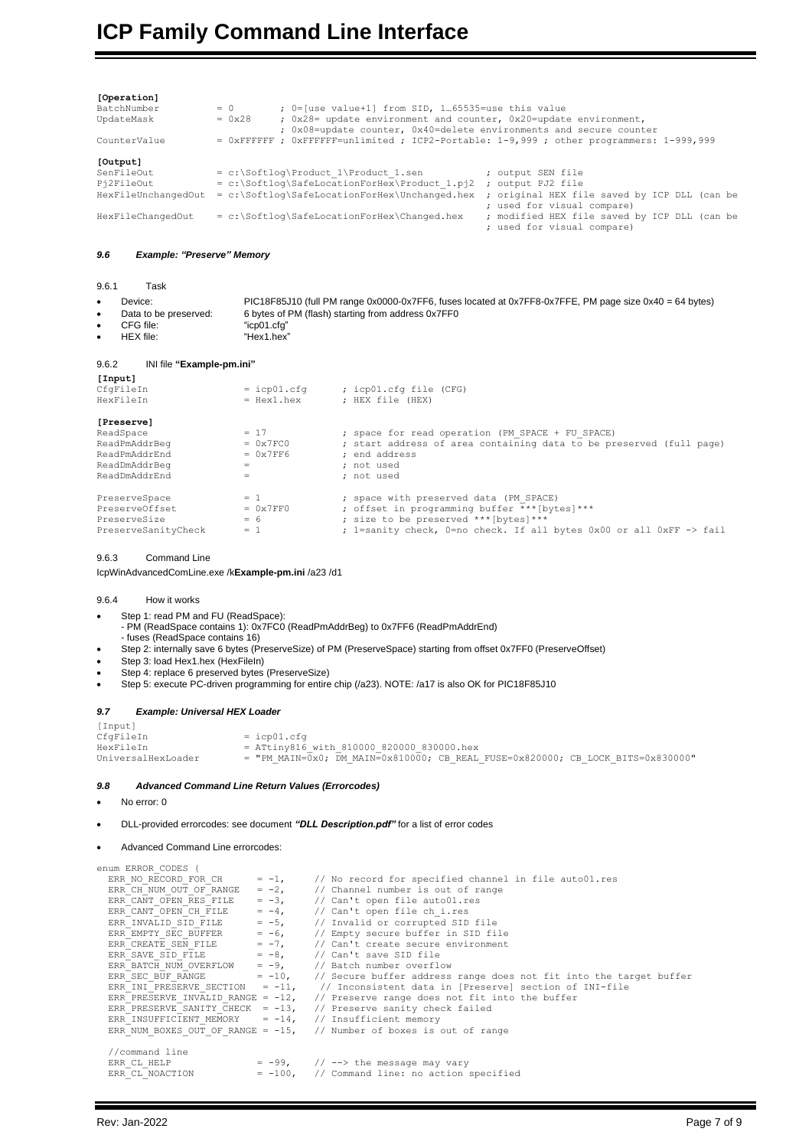| [Operation]<br>BatchNumber<br>UpdateMask<br>CounterValue | $= 0$<br>; 0=[use value+1] from SID, 165535=use this value<br>; 0x28= update environment and counter, 0x20=update environment,<br>$= 0x28$<br>; 0x08=update counter, 0x40=delete environments and secure counter<br>= OXFFFFFF ; OXFFFFFF=unlimited ; ICP2-Portable: 1-9,999 ; other programmers: 1-999,999 |
|----------------------------------------------------------|-------------------------------------------------------------------------------------------------------------------------------------------------------------------------------------------------------------------------------------------------------------------------------------------------------------|
| [Output]                                                 |                                                                                                                                                                                                                                                                                                             |
| SenFileOut<br>Pi2FileOut                                 | $= c:\Set{log\Product 1\Product 1, sen}$<br>; output SEN file<br>= c:\Softloq\SafeLocationForHex\Product 1.pj2<br>; output PJ2 file                                                                                                                                                                         |
| HexFileUnchangedOut                                      | = c:\Softloq\SafeLocationForHex\Unchanged.hex<br>; original HEX file saved by ICP DLL (can be<br>; used for visual compare)                                                                                                                                                                                 |
| HexFileChangedOut                                        | $= c$ : \Softloq \SafeLocationForHex \Changed.hex<br>; modified HEX file saved by ICP DLL (can be<br>; used for visual compare)                                                                                                                                                                             |

#### <span id="page-6-0"></span>*9.6 Example: "Preserve" Memory*

<span id="page-6-1"></span>9.6.1 Task

| Device: ∟             | PIC18F85J10 (full PM range 0x0000-0x7FF6, fuses located at 0x7FF8-0x7FFE, PM page size 0x40 = 64 bytes) |
|-----------------------|---------------------------------------------------------------------------------------------------------|
| Data to be preserved: | 6 bytes of PM (flash) starting from address 0x7FF0                                                      |
| CFG file:             | "icp01.cfq"                                                                                             |
| HEX file:             | "Hex1.hex"                                                                                              |

#### <span id="page-6-2"></span>9.6.2 INI file **"Example-pm.ini"**

| [Input]             |               |                                                                     |
|---------------------|---------------|---------------------------------------------------------------------|
| CfqFileIn           | $=$ icp01.cfq | ; icp01.cfq file (CFG)                                              |
| HexFileIn           | $=$ Hexl.hex  | ; HEX file (HEX)                                                    |
| [Preserve]          |               |                                                                     |
| ReadSpace           | $= 17$        | ; space for read operation (PM SPACE + FU SPACE)                    |
| ReadPmAddrBeg       | $= 0x7FC0$    | ; start address of area containing data to be preserved (full page) |
| ReadPmAddrEnd       | $= 0x7FF6$    | : end address                                                       |
| ReadDmAddrBeg       | $=$           | ; not used                                                          |
| ReadDmAddrEnd       | $=$           | ; not used                                                          |
| PreserveSpace       | $= 1$         | ; space with preserved data (PM SPACE)                              |
| PreserveOffset      | $= 0x7FF0$    | ; offset in programming buffer *** [bytes] ***                      |
| PreserveSize        | $= 6$         | ; size to be preserved *** [bytes] ***                              |
| PreserveSanityCheck | $= 1$         | ; 1=sanity check, 0=no check. If all bytes 0x00 or all 0xFF -> fail |

#### <span id="page-6-3"></span>9.6.3 Command Line

<span id="page-6-4"></span>IcpWinAdvancedComLine.exe /k**Example-pm.ini** /a23 /d1

#### 9.6.4 How it works

- Step 1: read PM and FU (ReadSpace):
- PM (ReadSpace contains 1): 0x7FC0 (ReadPmAddrBeg) to 0x7FF6 (ReadPmAddrEnd) - fuses (ReadSpace contains 16)
- Step 2: internally save 6 bytes (PreserveSize) of PM (PreserveSpace) starting from offset 0x7FF0 (PreserveOffset)
- Step 3: load Hex1.hex (HexFileIn)
- Step 4: replace 6 preserved bytes (PreserveSize)
- <span id="page-6-5"></span>Step 5: execute PC-driven programming for entire chip (/a23). NOTE: /a17 is also OK for PIC18F85J10

#### *9.7 Example: Universal HEX Loader*

| [Input]            |                                                                                 |
|--------------------|---------------------------------------------------------------------------------|
| CfqFileIn          | $=$ icp $01$ .cfq                                                               |
| HexFileIn          | $=$ ATtiny816 with 810000 820000 830000.hex                                     |
| UniversalHexLoader | = "PM MAIN=0x0; DM MAIN=0x810000; CB REAL FUSE=0x820000; CB LOCK BITS=0x830000" |

#### <span id="page-6-6"></span>*9.8 Advanced Command Line Return Values (Errorcodes)*

- No error: 0
- DLL-provided errorcodes: see document *"DLL Description.pdf"* for a list of error codes
- 

• Advanced Command Line errorcodes: enum ERROR\_CODES { ERR\_NO\_RECORD\_FOR\_CH = -1, // No record for specified channel in file auto01.res<br>ERR\_CH\_NUM\_OUT\_OF\_RANGE = -2, // Channel number is out of range ERR\_NO\_RECORD\_FOR\_CH = -1, // No record for specified ch<br>
ERR\_CH\_NUM\_OUT\_OF\_RANGE = -2, // Canit open file auto01.res<br>
ERR\_CANT\_OPEN\_ERS\_FILE = -3, // Can't open file auto01.res<br>
ERR\_CANT\_OPEN\_CH\_FILE = -4, // Can't open ERR\_CANT\_OPEN\_CH\_FILE = -4, // Can't open file ch\_i.res<br>ERR\_INVALID\_SID\_FILE = -5, // Invalid or corrupted SID\_file ERR\_EMPTY\_SEC\_BUFFER = -6, // Empty secure buffer in SID file<br>ERR\_CREATE\_SEN\_FILE = -7, // Can't create secure environment // Can't create secure environment  $\begin{array}{lll} \hbox{ERR\_CREATE} & \hbox{SEN\_FILE} & = -7, \\ \hbox{ERR\_SAVE} & \hbox{SD\_FILE} & = -8, \\ \hbox{ERR\_BATCH} & \hbox{NUM\_OVERFLOW} & = -9, \end{array}$ ERR\_SAVE\_SID\_FILE = -8, // Can't save SID file<br>
ERR\_BATCH\_NUM\_OVERFLOW = -9, // Batch number overflow<br>
ERR\_SEC\_BUF\_RANGE = -10, // Secure buffer address ERR\_SEC\_BUF\_RANGE = -10, // Secure buffer address range does not fit into the target buffer<br>ERR\_INI\_PRESERVE\_SECTION = -11, // Inconsistent data in [Preserve] section of INI-file ERR\_INI\_PRESERVE\_SECTION = -11, // Inconsistent data in [Preserve] section of INI-file ERR\_PRESERVE\_INVALID\_RANGE = -12, // Preserve range does not fit into the buffer  $\ell$ / Preserve range does not fit into the buffer<br> $\ell$ / Preserve sanity check failed<br> $\ell$ / Insufficient memory ERR\_PRESERVE\_SANITY\_CHECK = -13, // Preserve sanity check failed<br>ERR\_INSUFFICIENT\_MEMORY = -14, // Insufficient memory<br>ERR\_NUM\_BOXES\_OUT\_OF\_RANGE = -15, // Number of boxes is out of range //command line ERR\_CL\_HELP = -99,  $//$  --> the message may vary<br>ERR\_CL\_NOACTION = -100, // Command line: no action  $= -100$ , // Command line: no action specified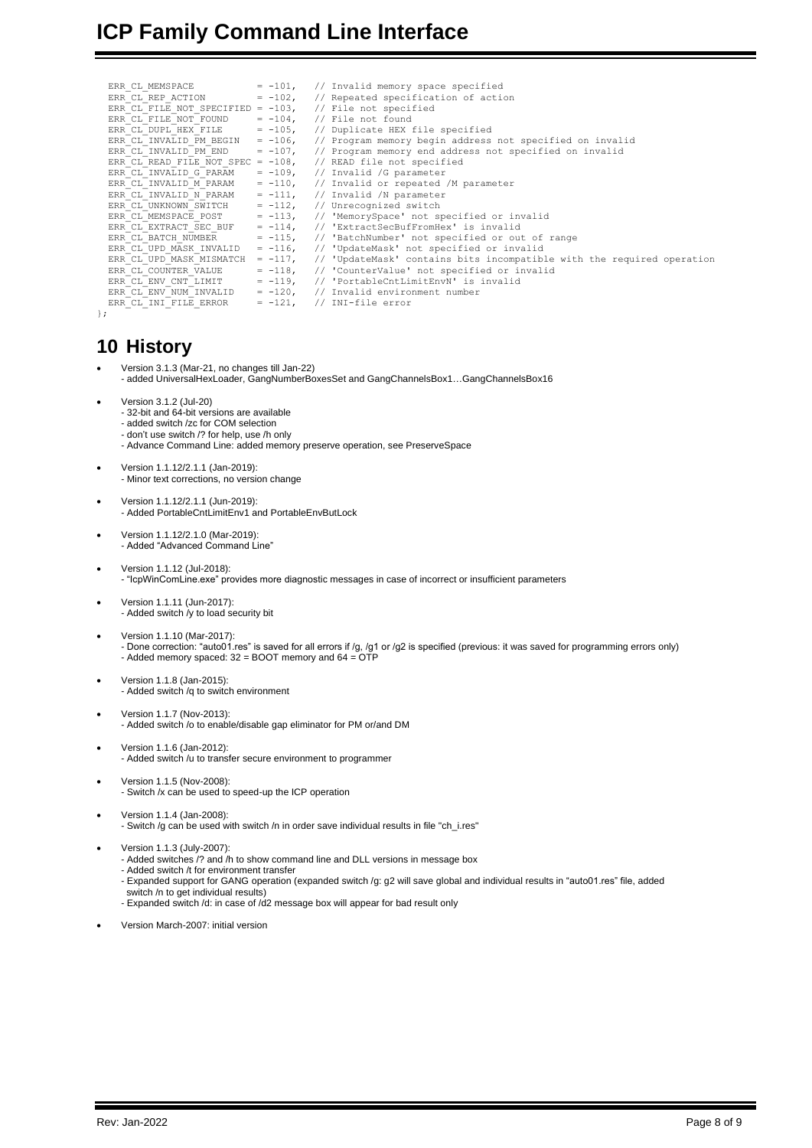# **ICP Family Command Line Interface**

| ERR CL MEMSPACE                                            |            | $= -101$ , // Invalid memory space specified                                                |
|------------------------------------------------------------|------------|---------------------------------------------------------------------------------------------|
| ERR CL REP ACTION = $-102$ ,                               |            | // Repeated specification of action                                                         |
| ERR CL FILE NOT SPECIFIED = $-103$ , // File not specified |            |                                                                                             |
| ERR CL FILE NOT FOUND                                      |            | $= -104$ , // File not found                                                                |
| ERR CL DUPL HEX FILE $= -105$ ,                            |            | // Duplicate HEX file specified                                                             |
|                                                            |            | ERR CL INVALID PM BEGIN = $-106$ , // Program memory begin address not specified on invalid |
| ERR CL INVALID PM END                                      | $= -107$ , | // Program memory end address not specified on invalid                                      |
|                                                            |            | ERR CL READ FILE NOT SPEC = $-108$ , // READ file not specified                             |
| ERR CL INVALID G PARAM                                     |            | $= -109$ , // Invalid /G parameter                                                          |
| ERR CL INVALID M PARAM                                     |            | $= -110$ , // Invalid or repeated /M parameter                                              |
| ERR CL INVALID N PARAM                                     |            | $= -111,$ // Invalid /N parameter                                                           |
| ERR CL UNKNOWN SWITCH                                      |            | $= -112$ , // Unrecognized switch                                                           |
| ERR CL MEMSPACE POST                                       | $= -113$ , | // 'MemorySpace' not specified or invalid                                                   |
| ERR CL EXTRACT SEC BUF                                     |            | $= -114$ , // 'ExtractSecBufFromHex' is invalid                                             |
| ERR CL BATCH NUMBER                                        |            | $= -115$ , // 'BatchNumber' not specified or out of range                                   |
| ERR CL UPD MASK INVALID                                    |            | $= -116$ , // 'UpdateMask' not specified or invalid                                         |
| ERR CL UPD MASK MISMATCH                                   | $= -117$ , | // 'UpdateMask' contains bits incompatible with the required operation                      |
| ERR CL COUNTER VALUE                                       | $= -118$ , | // 'CounterValue' not specified or invalid                                                  |
| ERR CL ENV CNT LIMIT                                       |            | = -119, // 'PortableCntLimitEnvN' is invalid                                                |
| ERR CL ENV NUM INVALID                                     |            | $= -120$ , // Invalid environment number                                                    |
| ERR CL INI FILE ERROR                                      |            | $= -121,$ // INI-file error                                                                 |
| $\}$ ;                                                     |            |                                                                                             |

## **10 History**

<span id="page-7-0"></span>};

• Version 3.1.3 (Mar-21, no changes till Jan-22)

- added UniversalHexLoader, GangNumberBoxesSet and GangChannelsBox1…GangChannelsBox16
- Version 3.1.2 (Jul-20)
	- 32-bit and 64-bit versions are available
	- added switch /zc for COM selection
	- don't use switch /? for help, use /h only - Advance Command Line: added memory preserve operation, see PreserveSpace
- Version 1.1.12/2.1.1 (Jan-2019): - Minor text corrections, no version change
- Version 1.1.12/2.1.1 (Jun-2019): - Added PortableCntLimitEnv1 and PortableEnvButLock
- Version 1.1.12/2.1.0 (Mar-2019): - Added "Advanced Command Line"
- Version 1.1.12 (Jul-2018): - "IcpWinComLine.exe" provides more diagnostic messages in case of incorrect or insufficient parameters
- Version 1.1.11 (Jun-2017): - Added switch /y to load security bit
- Version 1.1.10 (Mar-2017): - Done correction: "auto01.res" is saved for all errors if /g, /g1 or /g2 is specified (previous: it was saved for programming errors only) - Added memory spaced: 32 = BOOT memory and 64 = OTP
- Version 1.1.8 (Jan-2015): - Added switch /q to switch environment
- Version 1.1.7 (Nov-2013): - Added switch /o to enable/disable gap eliminator for PM or/and DM
- Version 1.1.6 (Jan-2012): - Added switch /u to transfer secure environment to programmer
- Version 1.1.5 (Nov-2008): - Switch /x can be used to speed-up the ICP operation
- Version 1.1.4 (Jan-2008): - Switch /g can be used with switch /n in order save individual results in file "ch\_i.res"
- Version 1.1.3 (July-2007):
	- Added switches /? and /h to show command line and DLL versions in message box
	- Added switch /t for environment transfer
	- Expanded support for GANG operation (expanded switch /g: g2 will save global and individual results in "auto01.res" file, added switch /n to get individual results)
	- Expanded switch /d: in case of /d2 message box will appear for bad result only
- Version March-2007: initial version